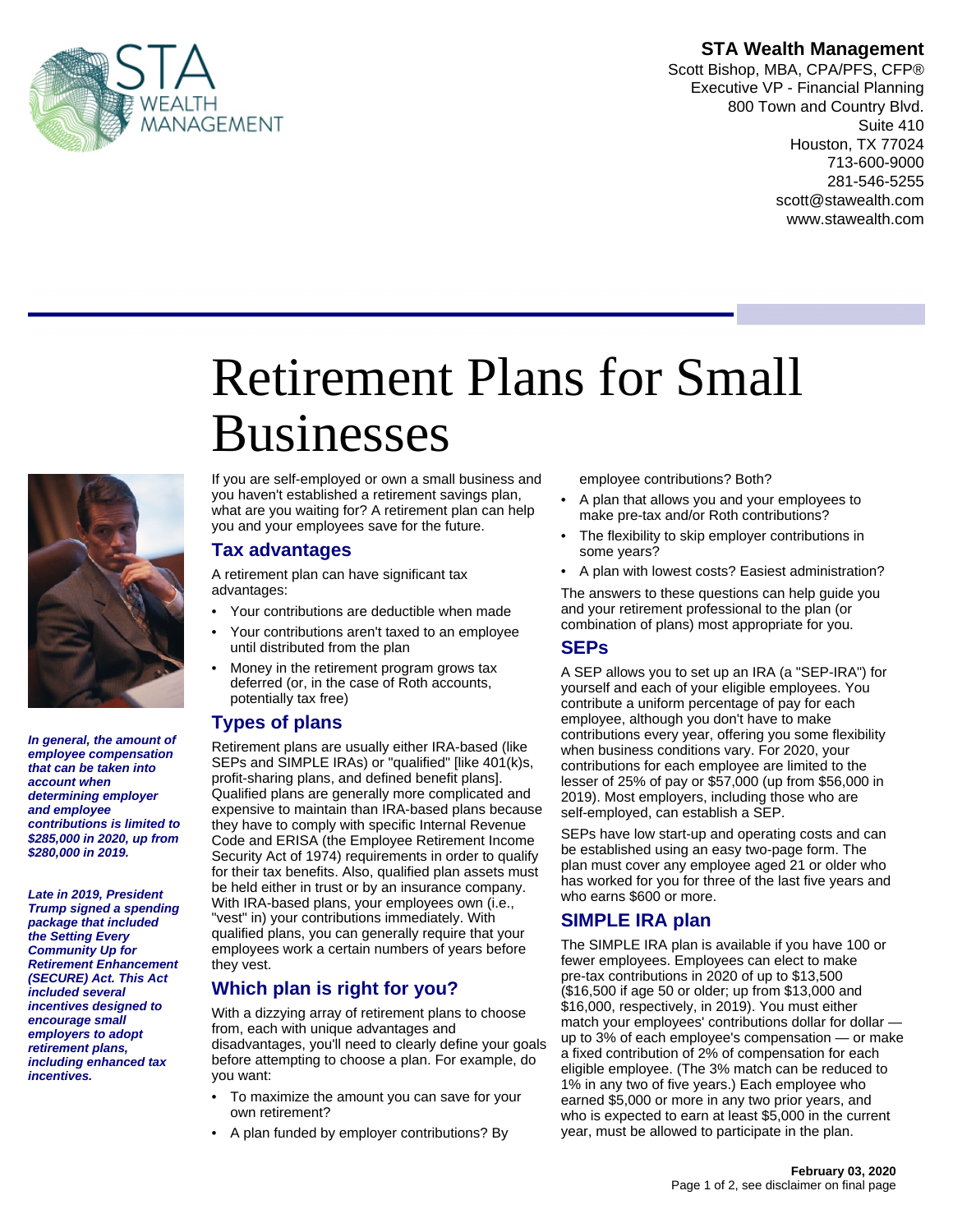

#### **STA Wealth Management**

Scott Bishop, MBA, CPA/PFS, CFP® Executive VP - Financial Planning 800 Town and Country Blvd. Suite 410 Houston, TX 77024 713-600-9000 281-546-5255 scott@stawealth.com www.stawealth.com

# Retirement Plans for Small **Businesses**



**In general, the amount of employee compensation that can be taken into account when determining employer and employee contributions is limited to \$285,000 in 2020, up from \$280,000 in 2019.**

**Late in 2019, President Trump signed a spending package that included the Setting Every Community Up for Retirement Enhancement (SECURE) Act. This Act included several incentives designed to encourage small employers to adopt retirement plans, including enhanced tax incentives.**

If you are self-employed or own a small business and you haven't established a retirement savings plan, what are you waiting for? A retirement plan can help you and your employees save for the future.

#### **Tax advantages**

A retirement plan can have significant tax advantages:

- Your contributions are deductible when made
- Your contributions aren't taxed to an employee until distributed from the plan
- Money in the retirement program grows tax deferred (or, in the case of Roth accounts, potentially tax free)

#### **Types of plans**

Retirement plans are usually either IRA-based (like SEPs and SIMPLE IRAs) or "qualified" [like 401(k)s, profit-sharing plans, and defined benefit plans]. Qualified plans are generally more complicated and expensive to maintain than IRA-based plans because they have to comply with specific Internal Revenue Code and ERISA (the Employee Retirement Income Security Act of 1974) requirements in order to qualify for their tax benefits. Also, qualified plan assets must be held either in trust or by an insurance company. With IRA-based plans, your employees own (i.e., "vest" in) your contributions immediately. With qualified plans, you can generally require that your employees work a certain numbers of years before they vest.

#### **Which plan is right for you?**

With a dizzying array of retirement plans to choose from, each with unique advantages and disadvantages, you'll need to clearly define your goals before attempting to choose a plan. For example, do you want:

- To maximize the amount you can save for your own retirement?
- A plan funded by employer contributions? By

employee contributions? Both?

- A plan that allows you and your employees to make pre-tax and/or Roth contributions?
- The flexibility to skip employer contributions in some years?
- A plan with lowest costs? Easiest administration?

The answers to these questions can help guide you and your retirement professional to the plan (or combination of plans) most appropriate for you.

#### **SEPs**

A SEP allows you to set up an IRA (a "SEP-IRA") for yourself and each of your eligible employees. You contribute a uniform percentage of pay for each employee, although you don't have to make contributions every year, offering you some flexibility when business conditions vary. For 2020, your contributions for each employee are limited to the lesser of 25% of pay or \$57,000 (up from \$56,000 in 2019). Most employers, including those who are self-employed, can establish a SEP.

SEPs have low start-up and operating costs and can be established using an easy two-page form. The plan must cover any employee aged 21 or older who has worked for you for three of the last five years and who earns \$600 or more.

#### **SIMPLE IRA plan**

The SIMPLE IRA plan is available if you have 100 or fewer employees. Employees can elect to make pre-tax contributions in 2020 of up to \$13,500 (\$16,500 if age 50 or older; up from \$13,000 and \$16,000, respectively, in 2019). You must either match your employees' contributions dollar for dollar up to 3% of each employee's compensation — or make a fixed contribution of 2% of compensation for each eligible employee. (The 3% match can be reduced to 1% in any two of five years.) Each employee who earned \$5,000 or more in any two prior years, and who is expected to earn at least \$5,000 in the current year, must be allowed to participate in the plan.